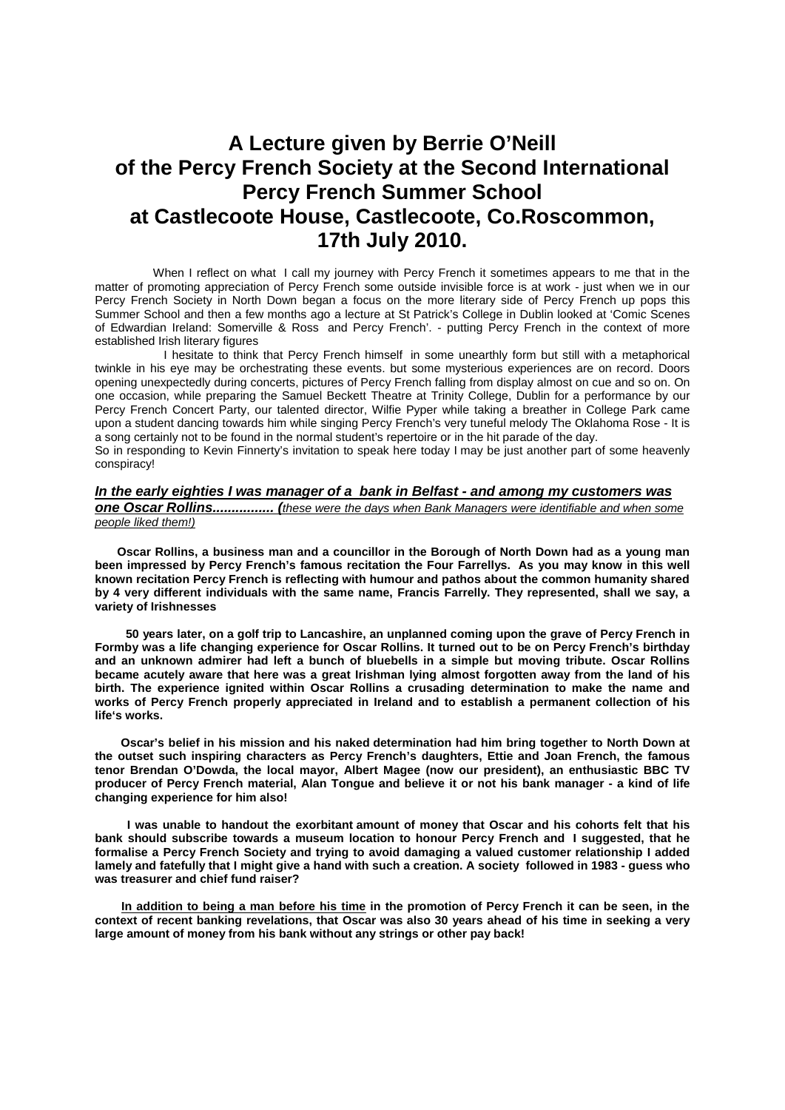# **A Lecture given by Berrie O'Neill of the Percy French Society at the Second International Percy French Summer School at Castlecoote House, Castlecoote, Co.Roscommon, 17th July 2010.**

 When I reflect on what I call my journey with Percy French it sometimes appears to me that in the matter of promoting appreciation of Percy French some outside invisible force is at work - just when we in our Percy French Society in North Down began a focus on the more literary side of Percy French up pops this Summer School and then a few months ago a lecture at St Patrick's College in Dublin looked at 'Comic Scenes of Edwardian Ireland: Somerville & Ross and Percy French'. - putting Percy French in the context of more established Irish literary figures

 I hesitate to think that Percy French himself in some unearthly form but still with a metaphorical twinkle in his eye may be orchestrating these events. but some mysterious experiences are on record. Doors opening unexpectedly during concerts, pictures of Percy French falling from display almost on cue and so on. On one occasion, while preparing the Samuel Beckett Theatre at Trinity College, Dublin for a performance by our Percy French Concert Party, our talented director, Wilfie Pyper while taking a breather in College Park came upon a student dancing towards him while singing Percy French's very tuneful melody The Oklahoma Rose - It is a song certainly not to be found in the normal student's repertoire or in the hit parade of the day.

So in responding to Kevin Finnerty's invitation to speak here today I may be just another part of some heavenly conspiracy!

# *In the early eighties I was manager of a bank in Belfast - and among my customers was*

*one Oscar Rollins................ (these were the days when Bank Managers were identifiable and when some people liked them!)*

**Oscar Rollins, a business man and a councillor in the Borough of North Down had as a young man been impressed by Percy French's famous recitation the Four Farrellys. As you may know in this well known recitation Percy French is reflecting with humour and pathos about the common humanity shared by 4 very different individuals with the same name, Francis Farrelly. They represented, shall we say, a variety of Irishnesses**

 **50 years later, on a golf trip to Lancashire, an unplanned coming upon the grave of Percy French in Formby was a life changing experience for Oscar Rollins. It turned out to be on Percy French's birthday and an unknown admirer had left a bunch of bluebells in a simple but moving tribute. Oscar Rollins became acutely aware that here was a great Irishman lying almost forgotten away from the land of his birth. The experience ignited within Oscar Rollins a crusading determination to make the name and works of Percy French properly appreciated in Ireland and to establish a permanent collection of his life's works.**

 **Oscar's belief in his mission and his naked determination had him bring together to North Down at the outset such inspiring characters as Percy French's daughters, Ettie and Joan French, the famous tenor Brendan O'Dowda, the local mayor, Albert Magee (now our president), an enthusiastic BBC TV producer of Percy French material, Alan Tongue and believe it or not his bank manager - a kind of life changing experience for him also!**

**I was unable to handout the exorbitant amount of money that Oscar and his cohorts felt that his bank should subscribe towards a museum location to honour Percy French and I suggested, that he formalise a Percy French Society and trying to avoid damaging a valued customer relationship I added lamely and fatefully that I might give a hand with such a creation. A society followed in 1983 - guess who was treasurer and chief fund raiser?**

 **In addition to being a man before his time in the promotion of Percy French it can be seen, in the context of recent banking revelations, that Oscar was also 30 years ahead of his time in seeking a very large amount of money from his bank without any strings or other pay back!**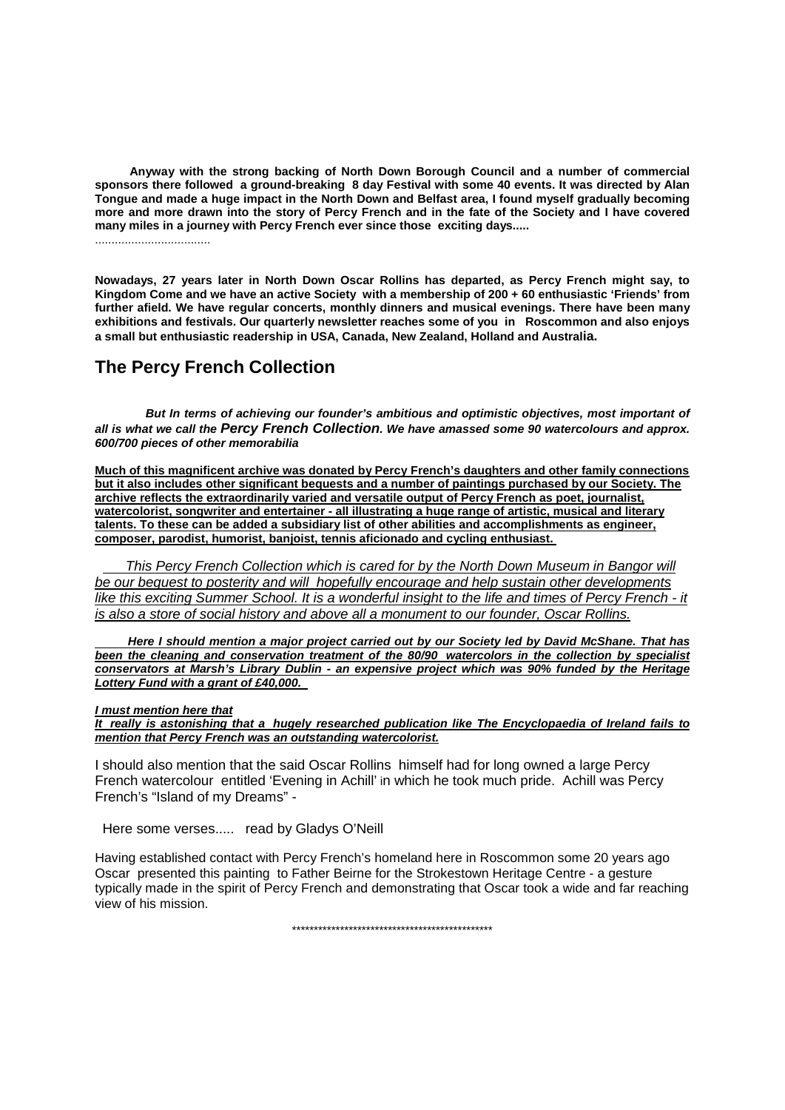**Anyway with the strong backing of North Down Borough Council and a number of commercial sponsors there followed a ground-breaking 8 day Festival with some 40 events. It was directed by Alan Tongue and made a huge impact in the North Down and Belfast area, I found myself gradually becoming more and more drawn into the story of Percy French and in the fate of the Society and I have covered many miles in a journey with Percy French ever since those exciting days.....**

...................................

**Nowadays, 27 years later in North Down Oscar Rollins has departed, as Percy French might say, to Kingdom Come and we have an active Society with a membership of 200 + 60 enthusiastic 'Friends' from further afield. We have regular concerts, monthly dinners and musical evenings. There have been many exhibitions and festivals. Our quarterly newsletter reaches some of you in Roscommon and also enjoys a small but enthusiastic readership in USA, Canada, New Zealand, Holland and Australia.**

# **The Percy French Collection**

*But In terms of achieving our founder's ambitious and optimistic objectives, most important of all is what we call the Percy French Collection. We have amassed some 90 watercolours and approx. 600/700 pieces of other memorabilia*

**Much of this magnificent archive was donated by Percy French's daughters and other family connections but it also includes other significant bequests and a number of paintings purchased by our Society. The archive reflects the extraordinarily varied and versatile output of Percy French as poet, journalist, watercolorist, songwriter and entertainer - all illustrating a huge range of artistic, musical and literary talents. To these can be added a subsidiary list of other abilities and accomplishments as engineer, composer, parodist, humorist, banjoist, tennis aficionado and cycling enthusiast.**

**This Percy French Collection which is cared for by the North Down Museum in Bangor will** *be our bequest to posterity and will hopefully encourage and help sustain other developments like this exciting Summer School. It is a wonderful insight to the life and times of Percy French - it is also a store of social history and above all a monument to our founder, Oscar Rollins.*

 *Here I should mention a major project carried out by our Society led by David McShane. That has been the cleaning and conservation treatment of the 80/90 watercolors in the collection by specialist conservators at Marsh's Library Dublin - an expensive project which was 90% funded by the Heritage Lottery Fund with a grant of £40,000.* 

# *I must mention here that*

*It really is astonishing that a hugely researched publication like The Encyclopaedia of Ireland fails to mention that Percy French was an outstanding watercolorist.*

I should also mention that the said Oscar Rollins himself had for long owned a large Percy French watercolour entitled 'Evening in Achill' in which he took much pride. Achill was Percy French's "Island of my Dreams" -

Here some verses..... read by Gladys O'Neill

Having established contact with Percy French's homeland here in Roscommon some 20 years ago Oscar presented this painting to Father Beirne for the Strokestown Heritage Centre - a gesture typically made in the spirit of Percy French and demonstrating that Oscar took a wide and far reaching view of his mission.

\*\*\*\*\*\*\*\*\*\*\*\*\*\*\*\*\*\*\*\*\*\*\*\*\*\*\*\*\*\*\*\*\*\*\*\*\*\*\*\*\*\*\*\*\*\*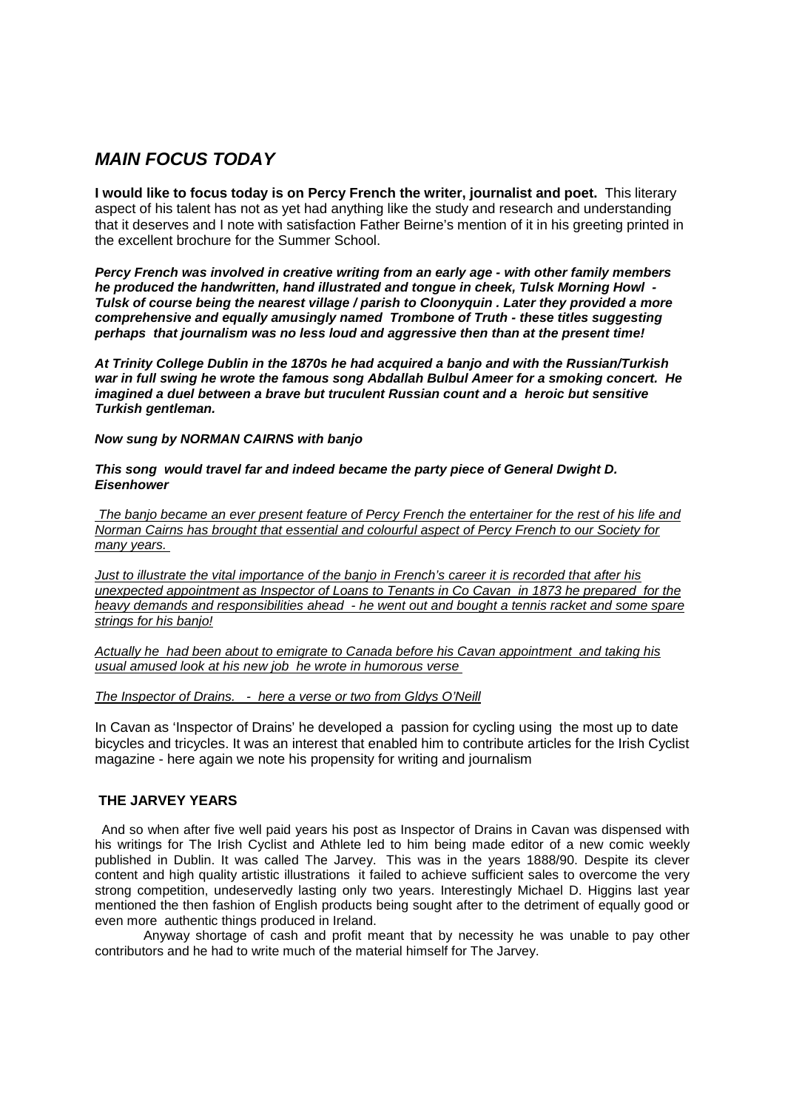# *MAIN FOCUS TODAY*

**I would like to focus today is on Percy French the writer, journalist and poet.** This literary aspect of his talent has not as yet had anything like the study and research and understanding that it deserves and I note with satisfaction Father Beirne's mention of it in his greeting printed in the excellent brochure for the Summer School.

*Percy French was involved in creative writing from an early age - with other family members he produced the handwritten, hand illustrated and tongue in cheek, Tulsk Morning Howl - Tulsk of course being the nearest village / parish to Cloonyquin . Later they provided a more comprehensive and equally amusingly named Trombone of Truth - these titles suggesting perhaps that journalism was no less loud and aggressive then than at the present time!*

*At Trinity College Dublin in the 1870s he had acquired a banjo and with the Russian/Turkish war in full swing he wrote the famous song Abdallah Bulbul Ameer for a smoking concert. He imagined a duel between a brave but truculent Russian count and a heroic but sensitive Turkish gentleman.*

# *Now sung by NORMAN CAIRNS with banjo*

## *This song would travel far and indeed became the party piece of General Dwight D. Eisenhower*

*The banjo became an ever present feature of Percy French the entertainer for the rest of his life and Norman Cairns has brought that essential and colourful aspect of Percy French to our Society for many years.*

*Just to illustrate the vital importance of the banjo in French's career it is recorded that after his unexpected appointment as Inspector of Loans to Tenants in Co Cavan in 1873 he prepared for the heavy demands and responsibilities ahead - he went out and bought a tennis racket and some spare strings for his banjo!*

*Actually he had been about to emigrate to Canada before his Cavan appointment and taking his usual amused look at his new job he wrote in humorous verse*

# *The Inspector of Drains. - here a verse or two from Gldys O'Neill*

In Cavan as 'Inspector of Drains' he developed a passion for cycling using the most up to date bicycles and tricycles. It was an interest that enabled him to contribute articles for the Irish Cyclist magazine - here again we note his propensity for writing and journalism

# **THE JARVEY YEARS**

And so when after five well paid years his post as Inspector of Drains in Cavan was dispensed with his writings for The Irish Cyclist and Athlete led to him being made editor of a new comic weekly published in Dublin. It was called The Jarvey. This was in the years 1888/90. Despite its clever content and high quality artistic illustrations it failed to achieve sufficient sales to overcome the very strong competition, undeservedly lasting only two years. Interestingly Michael D. Higgins last year mentioned the then fashion of English products being sought after to the detriment of equally good or even more authentic things produced in Ireland.

Anyway shortage of cash and profit meant that by necessity he was unable to pay other contributors and he had to write much of the material himself for The Jarvey.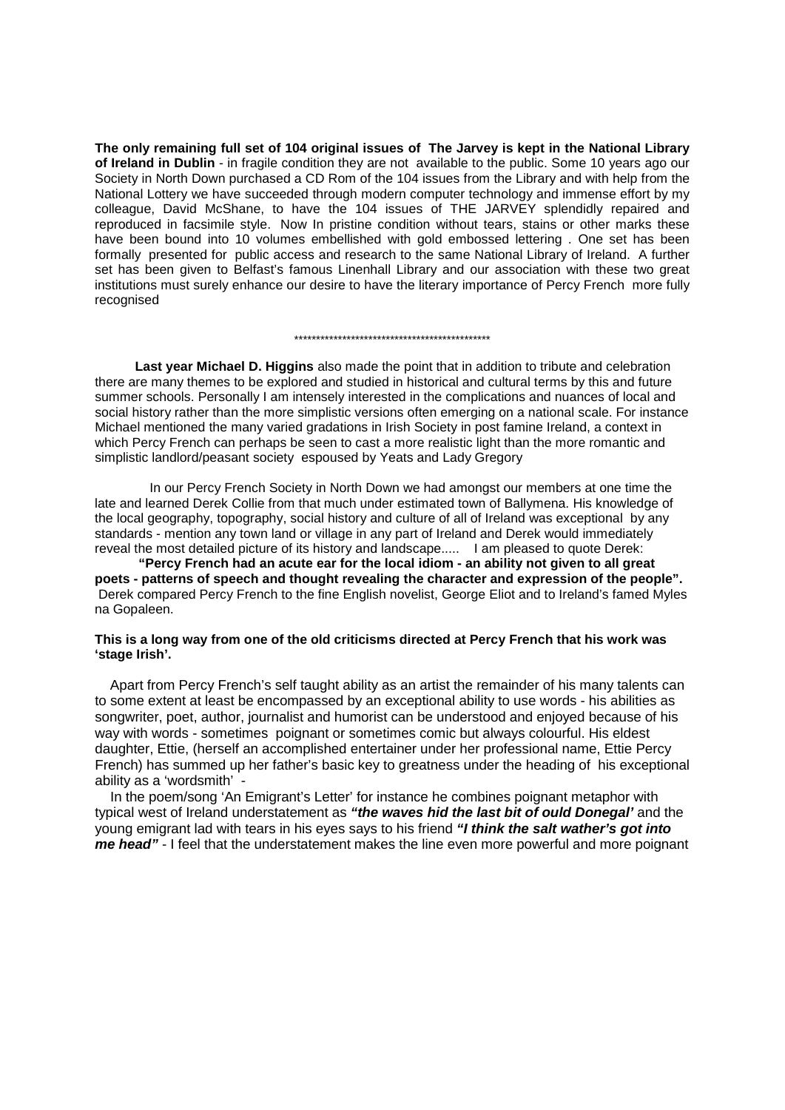**The only remaining full set of 104 original issues of The Jarvey is kept in the National Library of Ireland in Dublin** - in fragile condition they are not available to the public. Some 10 years ago our Society in North Down purchased a CD Rom of the 104 issues from the Library and with help from the National Lottery we have succeeded through modern computer technology and immense effort by my colleague, David McShane, to have the 104 issues of THE JARVEY splendidly repaired and reproduced in facsimile style. Now In pristine condition without tears, stains or other marks these have been bound into 10 volumes embellished with gold embossed lettering . One set has been formally presented for public access and research to the same National Library of Ireland. A further set has been given to Belfast's famous Linenhall Library and our association with these two great institutions must surely enhance our desire to have the literary importance of Percy French more fully recognised

#### \*\*\*\*\*\*\*\*\*\*\*\*\*\*\*\*\*\*\*\*\*\*\*\*\*\*\*\*\*\*\*\*\*\*\*\*\*\*\*\*\*\*\*\*\*

 **Last year Michael D. Higgins** also made the point that in addition to tribute and celebration there are many themes to be explored and studied in historical and cultural terms by this and future summer schools. Personally I am intensely interested in the complications and nuances of local and social history rather than the more simplistic versions often emerging on a national scale. For instance Michael mentioned the many varied gradations in Irish Society in post famine Ireland, a context in which Percy French can perhaps be seen to cast a more realistic light than the more romantic and simplistic landlord/peasant society espoused by Yeats and Lady Gregory

 In our Percy French Society in North Down we had amongst our members at one time the late and learned Derek Collie from that much under estimated town of Ballymena. His knowledge of the local geography, topography, social history and culture of all of Ireland was exceptional by any standards - mention any town land or village in any part of Ireland and Derek would immediately reveal the most detailed picture of its history and landscape..... I am pleased to quote Derek:

**"Percy French had an acute ear for the local idiom - an ability not given to all great poets - patterns of speech and thought revealing the character and expression of the people".** Derek compared Percy French to the fine English novelist, George Eliot and to Ireland's famed Myles na Gopaleen.

## **This is a long way from one of the old criticisms directed at Percy French that his work was 'stage Irish'.**

Apart from Percy French's self taught ability as an artist the remainder of his many talents can to some extent at least be encompassed by an exceptional ability to use words - his abilities as songwriter, poet, author, journalist and humorist can be understood and enjoyed because of his way with words - sometimes poignant or sometimes comic but always colourful. His eldest daughter, Ettie, (herself an accomplished entertainer under her professional name, Ettie Percy French) has summed up her father's basic key to greatness under the heading of his exceptional ability as a 'wordsmith' -

In the poem/song 'An Emigrant's Letter' for instance he combines poignant metaphor with typical west of Ireland understatement as *"the waves hid the last bit of ould Donegal'* and the young emigrant lad with tears in his eyes says to his friend *"I think the salt wather's got into me head"* - I feel that the understatement makes the line even more powerful and more poignant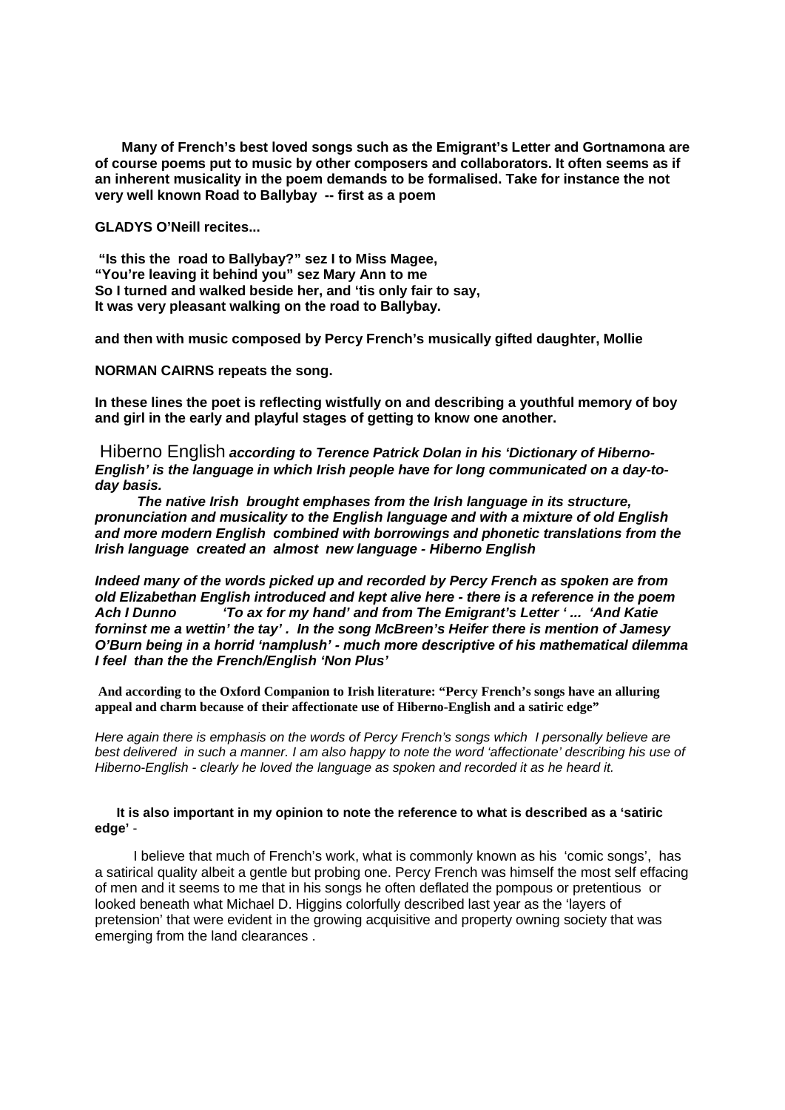**Many of French's best loved songs such as the Emigrant's Letter and Gortnamona are of course poems put to music by other composers and collaborators. It often seems as if an inherent musicality in the poem demands to be formalised. Take for instance the not very well known Road to Ballybay -- first as a poem**

**GLADYS O'Neill recites...**

**"Is this the road to Ballybay?" sez I to Miss Magee, "You're leaving it behind you" sez Mary Ann to me So I turned and walked beside her, and 'tis only fair to say, It was very pleasant walking on the road to Ballybay.**

**and then with music composed by Percy French's musically gifted daughter, Mollie**

**NORMAN CAIRNS repeats the song.**

**In these lines the poet is reflecting wistfully on and describing a youthful memory of boy and girl in the early and playful stages of getting to know one another.** 

Hiberno English *according to Terence Patrick Dolan in his 'Dictionary of Hiberno-English' is the language in which Irish people have for long communicated on a day-today basis.*

 *The native Irish brought emphases from the Irish language in its structure, pronunciation and musicality to the English language and with a mixture of old English and more modern English combined with borrowings and phonetic translations from the Irish language created an almost new language - Hiberno English*

*Indeed many of the words picked up and recorded by Percy French as spoken are from old Elizabethan English introduced and kept alive here - there is a reference in the poem Ach I Dunno 'To ax for my hand' and from The Emigrant's Letter ' ... 'And Katie forninst me a wettin' the tay' . In the song McBreen's Heifer there is mention of Jamesy O'Burn being in a horrid 'namplush' - much more descriptive of his mathematical dilemma I feel than the the French/English 'Non Plus'*

**And according to the Oxford Companion to Irish literature: "Percy French's songs have an alluring appeal and charm because of their affectionate use of Hiberno-English and a satiric edge"**

*Here again there is emphasis on the words of Percy French's songs which I personally believe are best delivered in such a manner. I am also happy to note the word 'affectionate' describing his use of Hiberno-English - clearly he loved the language as spoken and recorded it as he heard it.*

# **It is also important in my opinion to note the reference to what is described as a 'satiric edge'** -

I believe that much of French's work, what is commonly known as his 'comic songs', has a satirical quality albeit a gentle but probing one. Percy French was himself the most self effacing of men and it seems to me that in his songs he often deflated the pompous or pretentious or looked beneath what Michael D. Higgins colorfully described last year as the 'layers of pretension' that were evident in the growing acquisitive and property owning society that was emerging from the land clearances .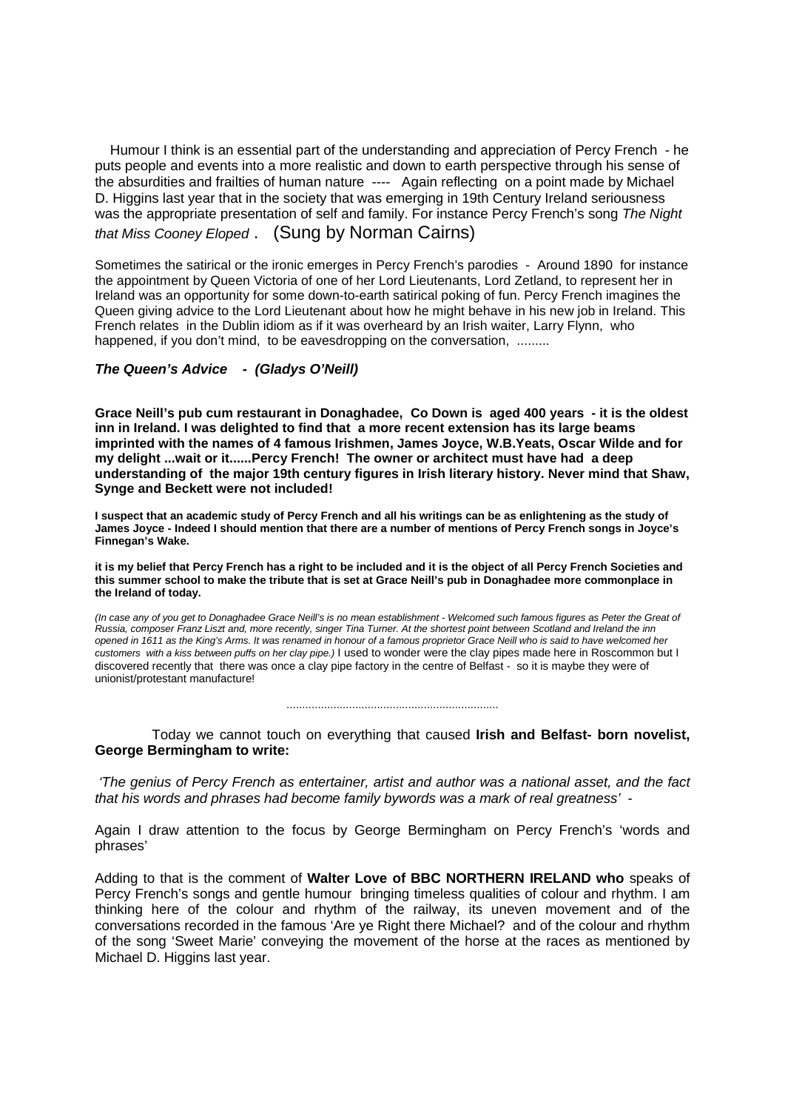Humour I think is an essential part of the understanding and appreciation of Percy French - he puts people and events into a more realistic and down to earth perspective through his sense of the absurdities and frailties of human nature ---- Again reflecting on a point made by Michael D. Higgins last year that in the society that was emerging in 19th Century Ireland seriousness was the appropriate presentation of self and family. For instance Percy French's song *The Night that Miss Cooney Eloped* . (Sung by Norman Cairns)

Sometimes the satirical or the ironic emerges in Percy French's parodies - Around 1890 for instance the appointment by Queen Victoria of one of her Lord Lieutenants, Lord Zetland, to represent her in Ireland was an opportunity for some down-to-earth satirical poking of fun. Percy French imagines the Queen giving advice to the Lord Lieutenant about how he might behave in his new job in Ireland. This French relates in the Dublin idiom as if it was overheard by an Irish waiter, Larry Flynn, who happened, if you don't mind, to be eavesdropping on the conversation, .........

# *The Queen's Advice - (Gladys O'Neill)*

**Grace Neill's pub cum restaurant in Donaghadee, Co Down is aged 400 years - it is the oldest inn in Ireland. I was delighted to find that a more recent extension has its large beams imprinted with the names of 4 famous Irishmen, James Joyce, W.B.Yeats, Oscar Wilde and for my delight ...wait or it......Percy French! The owner or architect must have had a deep understanding of the major 19th century figures in Irish literary history. Never mind that Shaw, Synge and Beckett were not included!**

**I suspect that an academic study of Percy French and all his writings can be as enlightening as the study of James Joyce - Indeed I should mention that there are a number of mentions of Percy French songs in Joyce's Finnegan's Wake.**

**it is my belief that Percy French has a right to be included and it is the object of all Percy French Societies and this summer school to make the tribute that is set at Grace Neill's pub in Donaghadee more commonplace in the Ireland of today.**

*(In case any of you get to Donaghadee Grace Neill's is no mean establishment - Welcomed such famous figures as Peter the Great of Russia, composer Franz Liszt and, more recently, singer Tina Turner. At the shortest point between Scotland and Ireland the inn opened in 1611 as the King's Arms. It was renamed in honour of a famous proprietor Grace Neill who is said to have welcomed her customers with a kiss between puffs on her clay pipe.)* I used to wonder were the clay pipes made here in Roscommon but I discovered recently that there was once a clay pipe factory in the centre of Belfast - so it is maybe they were of unionist/protestant manufacture!

#### ....................................................................

Today we cannot touch on everything that caused **Irish and Belfast- born novelist, George Bermingham to write:**

*'The genius of Percy French as entertainer, artist and author was a national asset, and the fact that his words and phrases had become family bywords was a mark of real greatness'* -

Again I draw attention to the focus by George Bermingham on Percy French's 'words and phrases'

Adding to that is the comment of **Walter Love of BBC NORTHERN IRELAND who** speaks of Percy French's songs and gentle humour bringing timeless qualities of colour and rhythm. I am thinking here of the colour and rhythm of the railway, its uneven movement and of the conversations recorded in the famous 'Are ye Right there Michael? and of the colour and rhythm of the song 'Sweet Marie' conveying the movement of the horse at the races as mentioned by Michael D. Higgins last year.